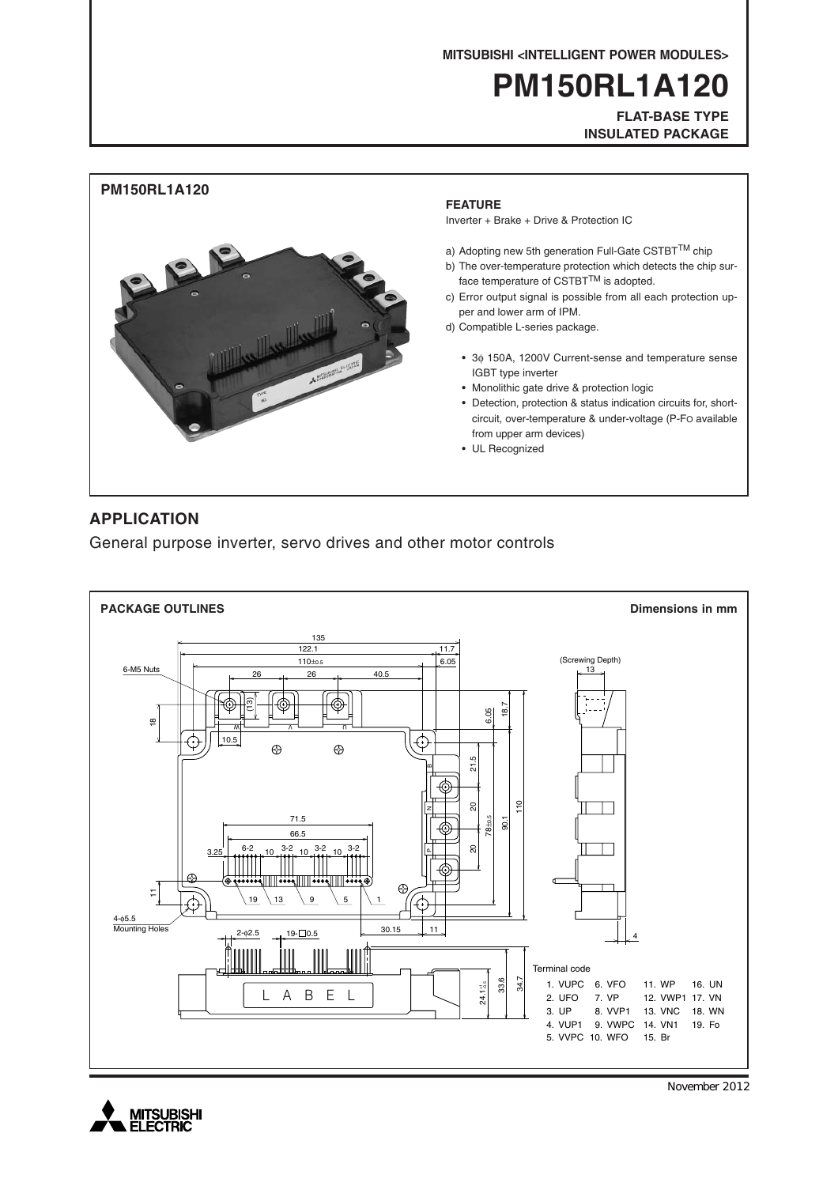**MITSUBISHI <INTELLIGENT POWER MODULES>**

# **PM150RL1A120**

**FLAT-BASE TYPE INSULATED PACKAGE**



### **APPLICATION**

General purpose inverter, servo drives and other motor controls





November 2012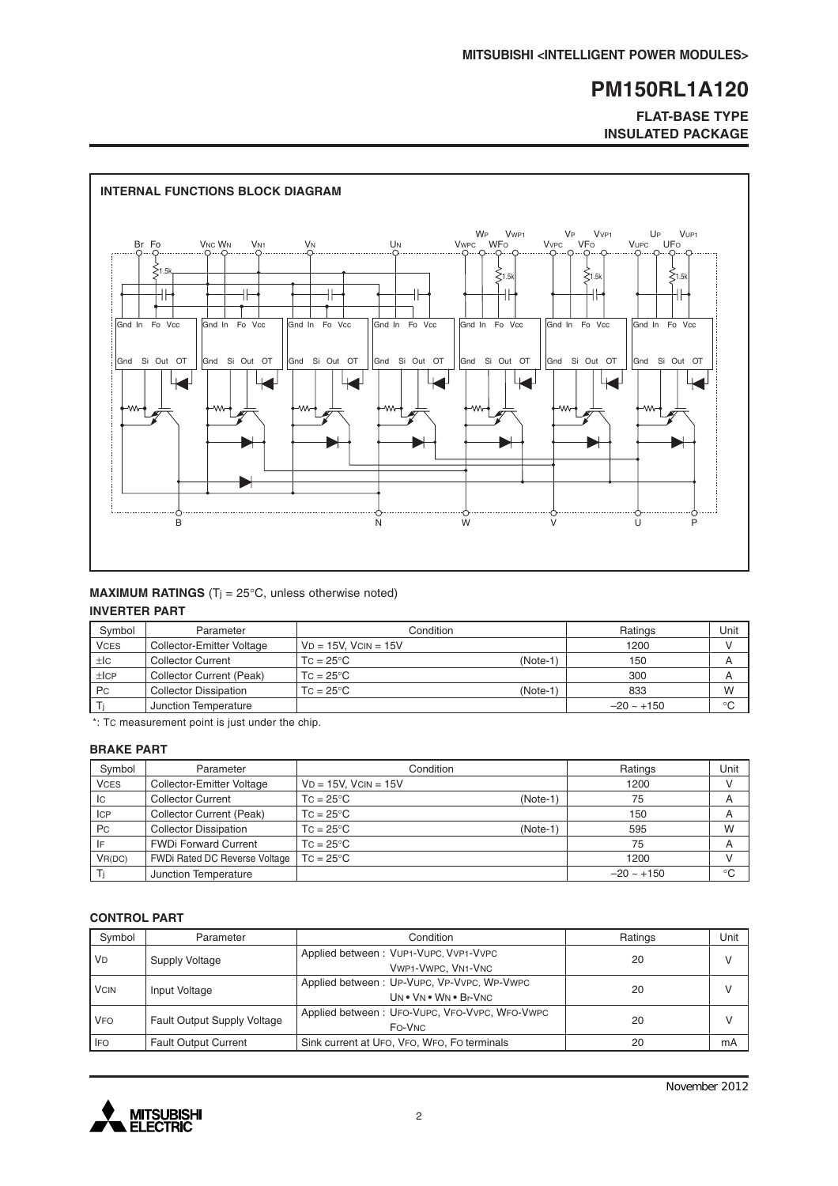#### **FLAT-BASE TYPE INSULATED PACKAGE**



#### **MAXIMUM RATINGS** ( $T_i = 25^\circ C$ , unless otherwise noted) **INVERTER PART**

| Svmbol      | Parameter                    | Condition                 |            | Ratings         | Unit        |
|-------------|------------------------------|---------------------------|------------|-----------------|-------------|
| <b>VCES</b> | Collector-Emitter Voltage    | $VD = 15V$ . $VCIN = 15V$ |            | 1200            |             |
| ±lc         | <b>Collector Current</b>     | $TC = 25^{\circ}C$        | $(Note-1)$ | 150             | A           |
| ±ICP        | Collector Current (Peak)     | $TC = 25^{\circ}C$        |            | 300             | A           |
| <b>Pc</b>   | <b>Collector Dissipation</b> | $TC = 25^{\circ}C$        | $(Note-1)$ | 833             | W           |
|             | Junction Temperature         |                           |            | $-20 \sim +150$ | $^{\circ}C$ |

\*: TC measurement point is just under the chip.

#### **BRAKE PART**

| Symbol      | Parameter                     | Condition                        | Ratings         | Unit        |
|-------------|-------------------------------|----------------------------------|-----------------|-------------|
| <b>VCES</b> | Collector-Emitter Voltage     | $VD = 15V$ , $VCIN = 15V$        | 1200            |             |
| IC          | <b>Collector Current</b>      | $TC = 25^{\circ}C$<br>$(Note-1)$ | 75              | A           |
| <b>ICP</b>  | Collector Current (Peak)      | $TC = 25^{\circ}C$               | 150             | A           |
| Pc          | <b>Collector Dissipation</b>  | $TC = 25^{\circ}C$<br>$(Note-1)$ | 595             | W           |
| IF          | <b>FWDi Forward Current</b>   | $TC = 25^{\circ}C$               | 75              | A           |
| VR(DC)      | FWDi Rated DC Reverse Voltage | $TC = 25^{\circ}C$               | 1200            |             |
|             | Junction Temperature          |                                  | $-20 \sim +150$ | $^{\circ}C$ |

#### **CONTROL PART**

| Symbol      | Parameter                          | Condition                                                           | Ratings | Unit         |
|-------------|------------------------------------|---------------------------------------------------------------------|---------|--------------|
| <b>VD</b>   | Supply Voltage                     | Applied between: VUP1-VUPC, VVP1-VVPC<br>VWP1-VWPC, VN1-VNC         | 20      | v            |
| <b>VCIN</b> | Input Voltage                      | Applied between: UP-VUPC, VP-VVPC, WP-VWPC<br>UN . VN . WN . Br-VNC | 20      | $\mathsf{V}$ |
| <b>VFO</b>  | <b>Fault Output Supply Voltage</b> | Applied between: UFO-VUPC, VFO-VVPC, WFO-VWPC<br>FO-VNC             | 20      |              |
| <b>IFO</b>  | <b>Fault Output Current</b>        | Sink current at UFO, VFO, WFO, FO terminals                         | 20      | mA           |

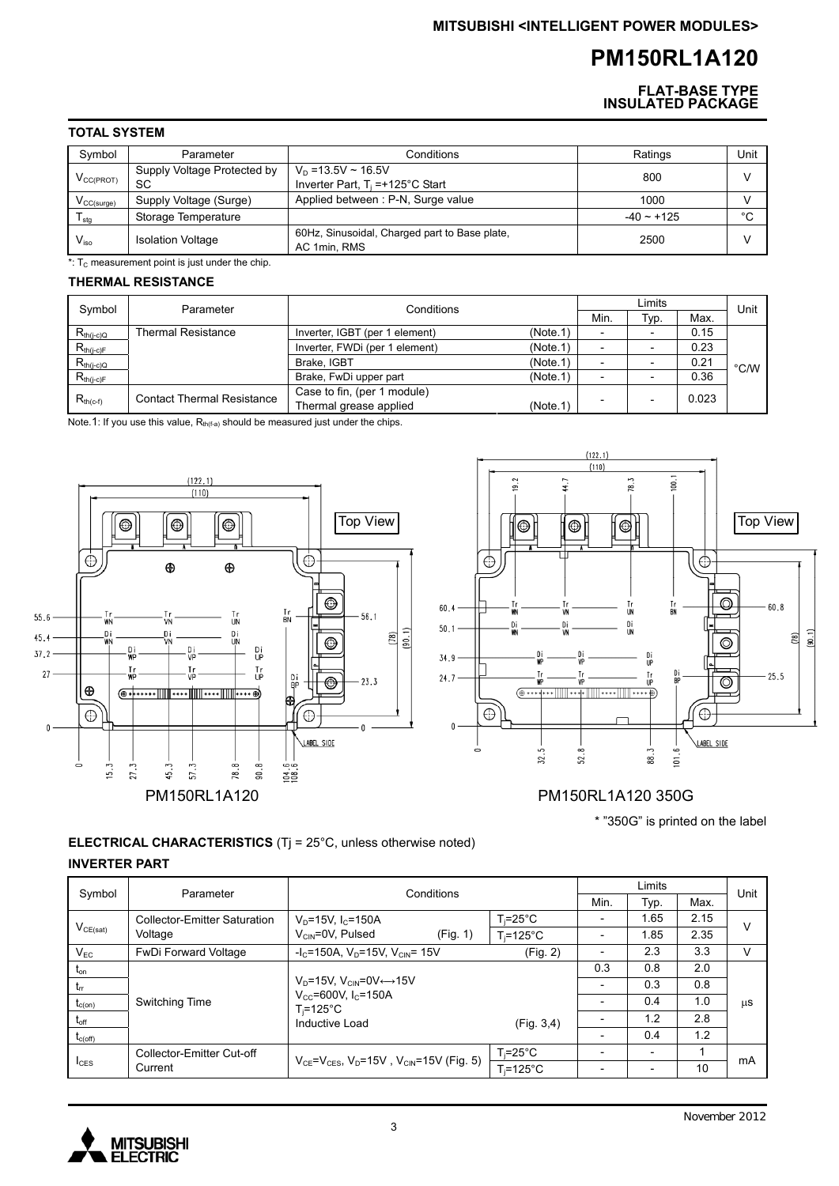**FLAT-BASE TYPE INSULATED PACKAGE**

#### **TOTAL SYSTEM**

| Symbol                 | Parameter                         | Conditions                                                            | Ratings         | Unit   |
|------------------------|-----------------------------------|-----------------------------------------------------------------------|-----------------|--------|
| $V_{CC(PROT)}$         | Supply Voltage Protected by<br>SC | $V_D = 13.5V \sim 16.5V$<br>Inverter Part, $T_i = +125^\circ C$ Start | 800             |        |
| $V_{\text{CC(surge)}}$ | Supply Voltage (Surge)            | Applied between: P-N, Surge value                                     | 1000            |        |
| I stg                  | Storage Temperature               |                                                                       | $-40 \sim +125$ | $\sim$ |
| $V_{\rm iso}$          | <b>Isolation Voltage</b>          | 60Hz, Sinusoidal, Charged part to Base plate,<br>AC 1min, RMS         | 2500            |        |

 $*$ : T<sub>c</sub> measurement point is just under the chip.

#### **THERMAL RESISTANCE**

| Symbol         | Parameter                         | Conditions                                                        |      | Limits |       |               |
|----------------|-----------------------------------|-------------------------------------------------------------------|------|--------|-------|---------------|
|                |                                   |                                                                   | Min. | Typ.   | Max.  | Unit          |
| $R_{th(j-c)Q}$ | <b>Thermal Resistance</b>         | (Note.1)<br>Inverter, IGBT (per 1 element)                        |      |        | 0.15  |               |
| $R_{th(j-c)F}$ |                                   | (Note.1)<br>Inverter, FWDi (per 1 element)                        |      |        | 0.23  |               |
| $R_{th(j-c)Q}$ |                                   | (Note.1)<br>Brake, IGBT                                           |      |        | 0.21  | $\degree$ C/W |
| $R_{th(j-c)F}$ |                                   | (Note.1)<br>Brake, FwDi upper part                                |      |        | 0.36  |               |
| $R_{th(c-f)}$  | <b>Contact Thermal Resistance</b> | Case to fin, (per 1 module)<br>Thermal grease applied<br>(Note.1) |      |        | 0.023 |               |

Note.1: If you use this value,  $R_{th(f-a)}$  should be measured just under the chips.



### **ELECTRICAL CHARACTERISTICS** (Tj = 25°C, unless otherwise noted) **INVERTER PART**

| Symbol                     | Parameter                           | Conditions                                                  |                    | Limits         |                          |      | Unit |
|----------------------------|-------------------------------------|-------------------------------------------------------------|--------------------|----------------|--------------------------|------|------|
|                            |                                     |                                                             |                    | Min.           | Typ.                     | Max. |      |
|                            | <b>Collector-Emitter Saturation</b> | $V_p = 15V$ , $I_c = 150A$                                  | T≔25°C             |                | 1.65                     | 2.15 | ν    |
| $V_{CE(sat)}$              | Voltage                             | $V_{\text{CIN}} = 0V$ , Pulsed<br>(Fig. 1)                  | $T = 125^{\circ}C$ |                | 1.85                     | 2.35 |      |
| $V_{EC}$                   | <b>FwDi Forward Voltage</b>         | $-IC=150A$ , V <sub>D</sub> =15V, V <sub>CIN</sub> = 15V    | (Fig. 2)           |                | 2.3                      | 3.3  | v    |
| $\mathsf{t}_{\mathsf{on}}$ |                                     |                                                             |                    | 0.3            | 0.8                      | 2.0  |      |
| $t_{rr}$                   |                                     | $V_D = 15V$ , $V_{CIN} = 0V \leftrightarrow 15V$            |                    | $\overline{a}$ | 0.3                      | 0.8  |      |
| $t_{c(on)}$                | <b>Switching Time</b>               | $V_{CC}$ =600V, $I_C$ =150A<br>$T_i = 125^{\circ}C$         |                    |                | 0.4                      | 1.0  | μS   |
| $t_{\mathsf{off}}$         |                                     | Inductive Load                                              | (Fiq. 3, 4)        |                | 1.2                      | 2.8  |      |
| $t_{c(off)}$               |                                     |                                                             |                    |                | 0.4                      | 1.2  |      |
|                            | Collector-Emitter Cut-off           | $V_{CF} = V_{CES}$ , $V_D = 15V$ , $V_{CIN} = 15V$ (Fig. 5) | T.=25°C            |                | $\overline{\phantom{a}}$ |      | mA   |
| $I_{\text{CES}}$           | Current                             |                                                             | $T_i = 125$ °C     |                | $\overline{\phantom{0}}$ | 10   |      |

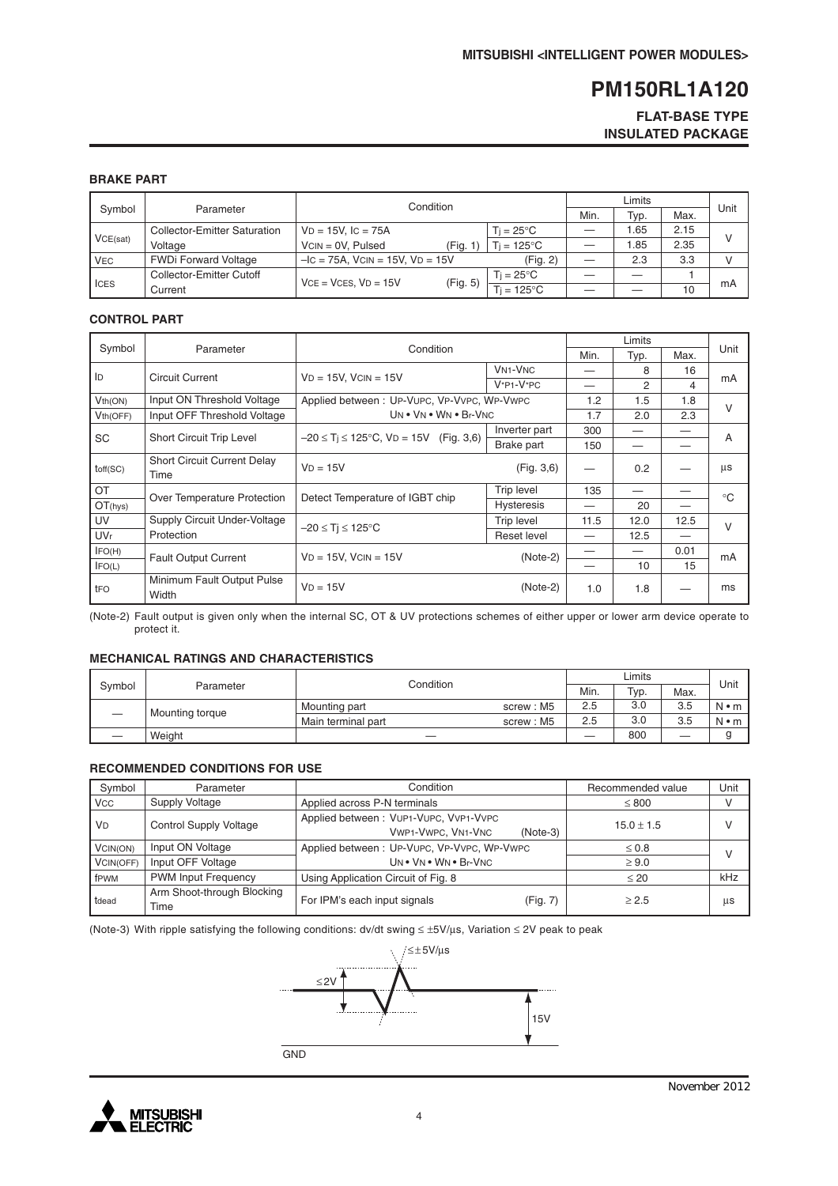#### **FLAT-BASE TYPE INSULATED PACKAGE**

#### **BRAKE PART**

|            |                                     | Condition                               |                     | Limits |      |      |      |
|------------|-------------------------------------|-----------------------------------------|---------------------|--------|------|------|------|
| Symbol     | Parameter                           |                                         |                     |        | Typ. | Max. | Unit |
|            | <b>Collector-Emitter Saturation</b> | $VD = 15V$ , $IC = 75A$                 | $Ti = 25^{\circ}C$  |        | .65  | 2.15 |      |
| VCE(sat)   | Voltage                             | $VCN = 0V$ . Pulsed<br>(Fig. 1          | $Ti = 125^{\circ}C$ |        | 0.85 | 2.35 |      |
| <b>VEC</b> | <b>FWDi Forward Voltage</b>         | $-IC = 75A$ , $VCIN = 15V$ , $VD = 15V$ | (Fig. 2)            |        | 2.3  | 3.3  | v    |
| I ICES     | Collector-Emitter Cutoff            | $VCE = VCES. VD = 15V$                  | $Ti = 25^{\circ}$ C |        |      |      |      |
|            | Current                             | (Fig. 5)                                | $=125^{\circ}$ C    |        |      | 10   | mA   |

#### **CONTROL PART**

|                       |                                    |                                                 | Limits            |      |      |      |             |
|-----------------------|------------------------------------|-------------------------------------------------|-------------------|------|------|------|-------------|
| Symbol                | Parameter                          | Condition                                       |                   | Min. | Typ. | Max. | Unit        |
| ID                    | <b>Circuit Current</b>             | $VD = 15V$ , $VCIN = 15V$                       | <b>VN1-VNC</b>    |      | 8    | 16   |             |
|                       |                                    |                                                 | $V^*P1-V^*PC$     |      | 2    | 4    | mA          |
| Vth(ON)               | Input ON Threshold Voltage         | Applied between: UP-VUPC, VP-VVPC, WP-VWPC      |                   | 1.2  | 1.5  | 1.8  | $\vee$      |
| V <sub>th</sub> (OFF) | Input OFF Threshold Voltage        | UN . VN . WN . Br-VNC                           |                   | 1.7  | 2.0  | 2.3  |             |
| <b>SC</b>             | <b>Short Circuit Trip Level</b>    | $-20 \le T$ i $\le 125$ °C, VD = 15V (Fig. 3,6) | Inverter part     | 300  |      |      | A           |
|                       |                                    |                                                 | Brake part        | 150  |      |      |             |
| toff(SC)              | <b>Short Circuit Current Delay</b> | $VD = 15V$                                      | (Fig. 3, 6)       |      | 0.2  |      | μs          |
|                       | Time                               |                                                 |                   |      |      |      |             |
| OT                    | Over Temperature Protection        | Detect Temperature of IGBT chip                 | <b>Trip level</b> | 135  |      |      | $^{\circ}C$ |
| OT(hys)               |                                    |                                                 | <b>Hysteresis</b> |      | 20   |      |             |
| UV                    | Supply Circuit Under-Voltage       | $-20 \leq Ti \leq 125^{\circ}C$                 | Trip level        | 11.5 | 12.0 | 12.5 | $\vee$      |
| <b>UVr</b>            | Protection                         |                                                 | Reset level       |      | 12.5 |      |             |
| IFO(H)                | <b>Fault Output Current</b>        | $VD = 15V$ . $VCIN = 15V$                       | $(Note-2)$        |      |      | 0.01 | mA          |
| IFO(L)                |                                    |                                                 |                   |      | 10   | 15   |             |
| tFO                   | Minimum Fault Output Pulse         | $VD = 15V$                                      | $(Note-2)$        | 1.0  | 1.8  |      | ms          |
|                       | Width                              |                                                 |                   |      |      |      |             |

(Note-2) Fault output is given only when the internal SC, OT & UV protections schemes of either upper or lower arm device operate to protect it.

#### **MECHANICAL RATINGS AND CHARACTERISTICS**

|        |                 | Condition          |           | Limits |      |      |             |
|--------|-----------------|--------------------|-----------|--------|------|------|-------------|
| Symbol | Parameter       |                    |           | Min.   | Typ. | Max. | Unit        |
|        | Mounting torque | Mounting part      | screw: M5 | 2.5    | 3.0  | 3.5  | N • m       |
|        |                 | Main terminal part | screw: M5 | 2.5    | 3.0  | 3.5  | $N \cdot m$ |
|        | Weight          |                    |           |        | 800  |      |             |

#### **RECOMMENDED CONDITIONS FOR USE**

| Symbol               | Parameter                          | Condition                                                                 | Recommended value | Unit   |
|----------------------|------------------------------------|---------------------------------------------------------------------------|-------------------|--------|
| <b>VCC</b>           | Supply Voltage                     | Applied across P-N terminals                                              | $\leq 800$        | $\vee$ |
| <b>V<sub>D</sub></b> | <b>Control Supply Voltage</b>      | Applied between: VUP1-VUPC, VVP1-VVPC<br>VWP1-VWPC, VN1-VNC<br>$(Note-3)$ | $15.0 \pm 1.5$    | $\vee$ |
| VCIN(ON)             | Input ON Voltage                   | Applied between: UP-VUPC, VP-VVPC, WP-VWPC                                | $\leq 0.8$        | $\vee$ |
| VCIN(OFF)            | Input OFF Voltage                  | UN . VN . WN . Br-VNC                                                     | $\geq 9.0$        |        |
| fPWM                 | <b>PWM Input Frequency</b>         | Using Application Circuit of Fig. 8                                       | $\leq 20$         | kHz    |
| tdead                | Arm Shoot-through Blocking<br>Time | For IPM's each input signals<br>(Fig. 7)                                  | > 2.5             | μs     |

(Note-3) With ripple satisfying the following conditions: dv/dt swing ≤ ±5V/µs, Variation ≤ 2V peak to peak



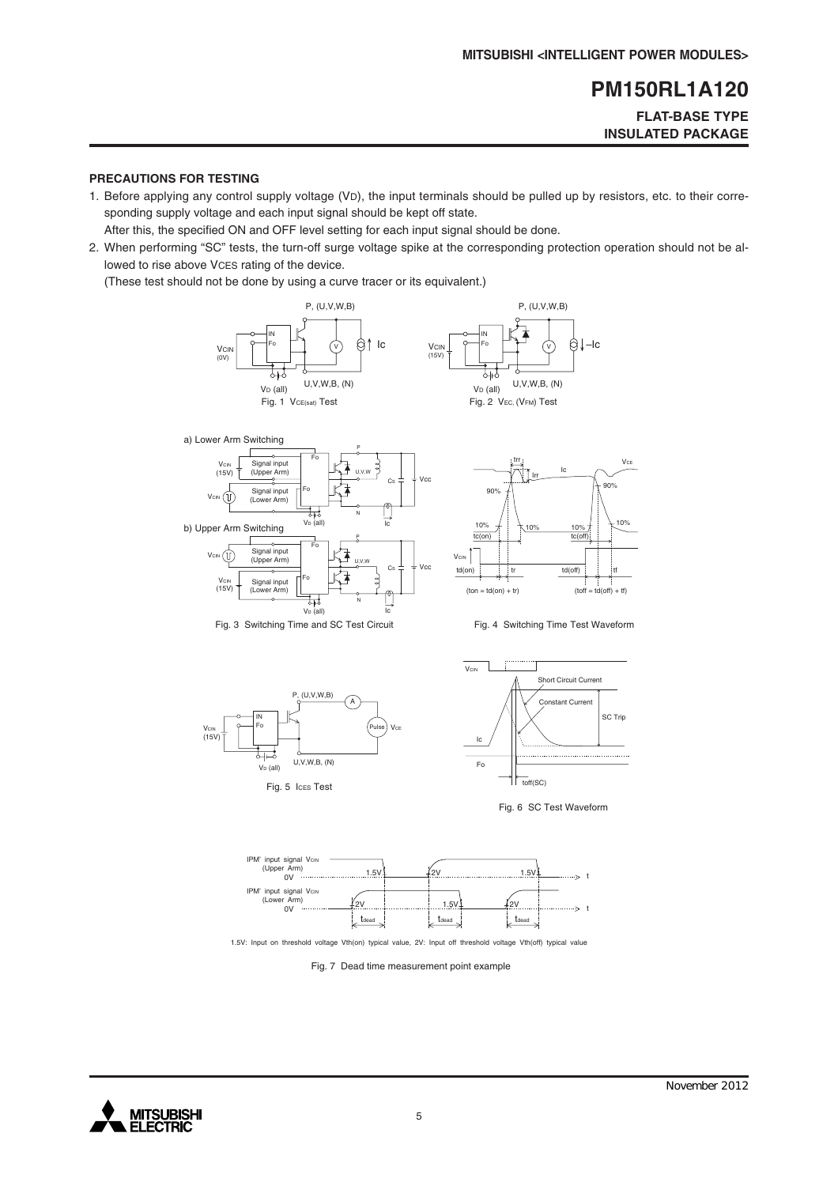#### **FLAT-BASE TYPE INSULATED PACKAGE**

#### **PRECAUTIONS FOR TESTING**

1. Before applying any control supply voltage (VD), the input terminals should be pulled up by resistors, etc. to their corresponding supply voltage and each input signal should be kept off state.

After this, the specified ON and OFF level setting for each input signal should be done.

2. When performing "SC" tests, the turn-off surge voltage spike at the corresponding protection operation should not be allowed to rise above VCES rating of the device.

(These test should not be done by using a curve tracer or its equivalent.)













Fig. 6 SC Test Waveform



1.5V: Input on threshold voltage Vth(on) typical value, 2V: Input off threshold voltage Vth(off) typical value

Fig. 7 Dead time measurement point example

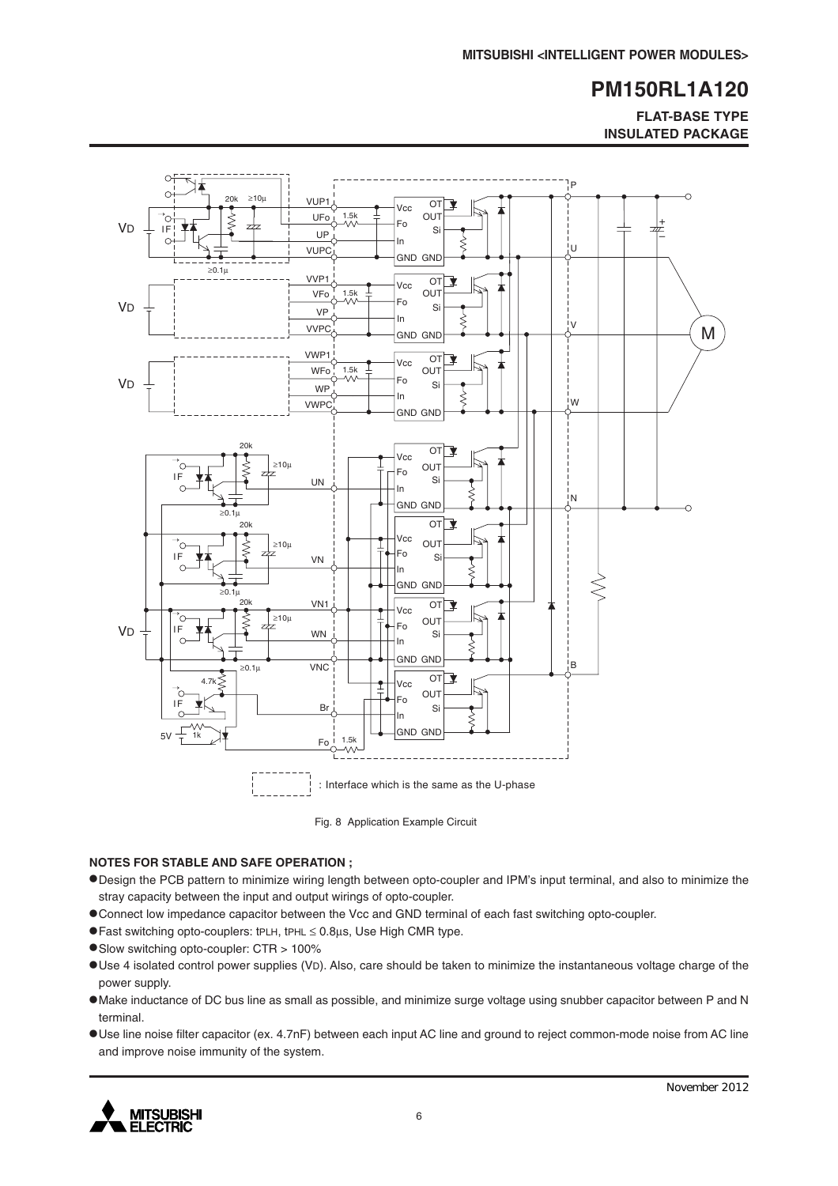**FLAT-BASE TYPE INSULATED PACKAGE**



Fig. 8 Application Example Circuit

#### **NOTES FOR STABLE AND SAFE OPERATION ;**

- •Design the PCB pattern to minimize wiring length between opto-coupler and IPM's input terminal, and also to minimize the stray capacity between the input and output wirings of opto-coupler.
- •Connect low impedance capacitor between the Vcc and GND terminal of each fast switching opto-coupler.
- •Fast switching opto-couplers: tPLH, tPHL <sup>≤</sup> 0.8µs, Use High CMR type.
- •Slow switching opto-coupler: CTR > 100%
- •Use 4 isolated control power supplies (VD). Also, care should be taken to minimize the instantaneous voltage charge of the power supply.
- •Make inductance of DC bus line as small as possible, and minimize surge voltage using snubber capacitor between P and N terminal.
- •Use line noise filter capacitor (ex. 4.7nF) between each input AC line and ground to reject common-mode noise from AC line and improve noise immunity of the system.

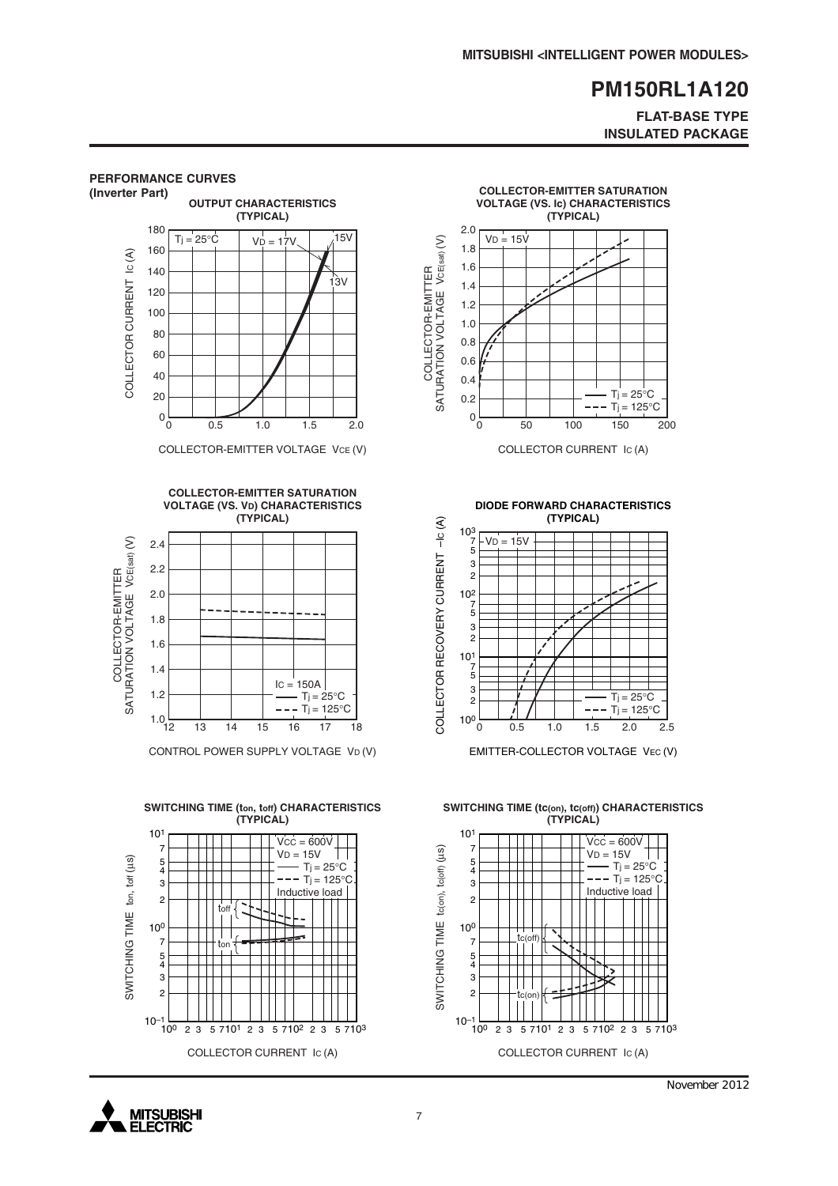#### **FLAT-BASE TYPE INSULATED PACKAGE**



November 2012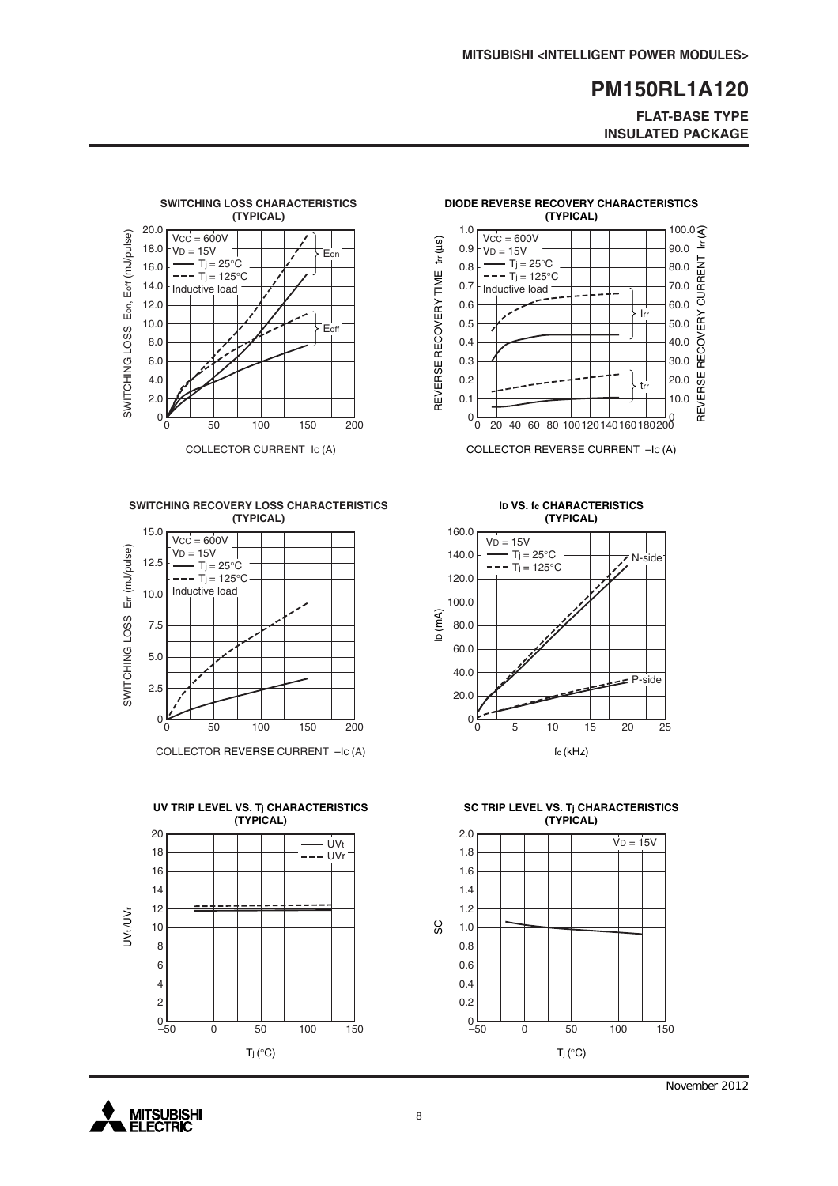**FLAT-BASE TYPE INSULATED PACKAGE**

20.0

trr

Irr

30.0

10.0

40.0

60.0

50.0

REVERSE RECOVERY CURRENT lrr (A)

REVERSE RECOVERY

80.0

90.0

70.0

100.0 $\widehat{\mathcal{R}}$ 

 $\sum_{i=1}^{n}$ 

CURRENT



**SWITCHING RECOVERY LOSS CHARACTERISTICS (TYPICAL)**



COLLECTOR REVERSE CURRENT –IC (A)





**ID VS. fc CHARACTERISTICS**

0 0 20 60 100 140 180 40 80 120 160 200

COLLECTOR REVERSE CURRENT –IC (A)

**DIODE REVERSE RECOVERY CHARACTERISTICS (TYPICAL)**

 $0\frac{L}{0}$ 0.1 0.2 0.3 0.4 0.5 0.6 0.7 0.8 0.9 1.0

REVERSE RECOVERY TIME trr (µs)

REVERSE RECOVERY TIME

 $tr(\mu s)$ 

 $VCC = 600V$  $V_D = 15V$  $-Tj = 25^{\circ}C$  $---$  T<sub>j</sub> = 125°C Inductive load



**SC TRIP LEVEL VS. Tj CHARACTERISTICS (TYPICAL)**